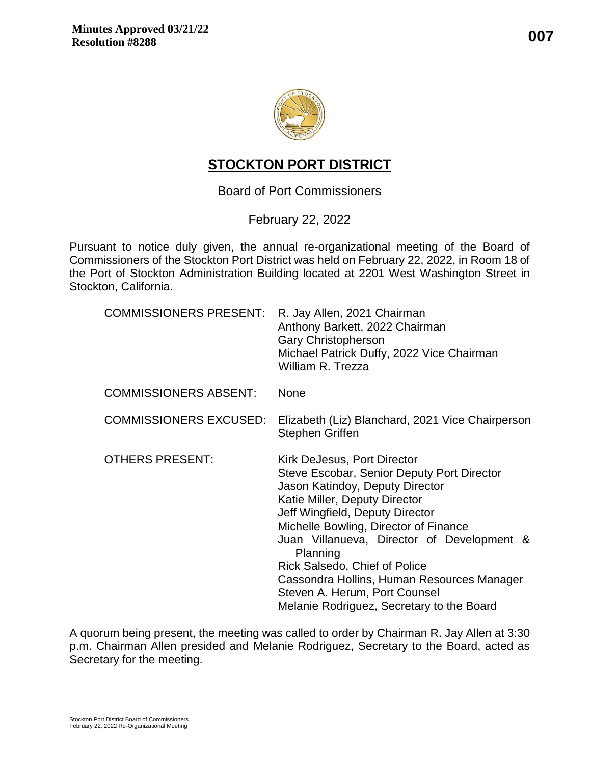



# **STOCKTON PORT DISTRICT**

## Board of Port Commissioners

February 22, 2022

Pursuant to notice duly given, the annual re-organizational meeting of the Board of Commissioners of the Stockton Port District was held on February 22, 2022, in Room 18 of the Port of Stockton Administration Building located at 2201 West Washington Street in Stockton, California.

| <b>COMMISSIONERS PRESENT:</b> | R. Jay Allen, 2021 Chairman<br>Anthony Barkett, 2022 Chairman<br><b>Gary Christopherson</b><br>Michael Patrick Duffy, 2022 Vice Chairman<br>William R. Trezza                                                                                                                                                                                                                                                                                           |
|-------------------------------|---------------------------------------------------------------------------------------------------------------------------------------------------------------------------------------------------------------------------------------------------------------------------------------------------------------------------------------------------------------------------------------------------------------------------------------------------------|
| <b>COMMISSIONERS ABSENT:</b>  | <b>None</b>                                                                                                                                                                                                                                                                                                                                                                                                                                             |
| <b>COMMISSIONERS EXCUSED:</b> | Elizabeth (Liz) Blanchard, 2021 Vice Chairperson<br><b>Stephen Griffen</b>                                                                                                                                                                                                                                                                                                                                                                              |
| <b>OTHERS PRESENT:</b>        | Kirk DeJesus, Port Director<br>Steve Escobar, Senior Deputy Port Director<br>Jason Katindoy, Deputy Director<br>Katie Miller, Deputy Director<br>Jeff Wingfield, Deputy Director<br>Michelle Bowling, Director of Finance<br>Juan Villanueva, Director of Development &<br>Planning<br><b>Rick Salsedo, Chief of Police</b><br>Cassondra Hollins, Human Resources Manager<br>Steven A. Herum, Port Counsel<br>Melanie Rodriguez, Secretary to the Board |

A quorum being present, the meeting was called to order by Chairman R. Jay Allen at 3:30 p.m. Chairman Allen presided and Melanie Rodriguez, Secretary to the Board, acted as Secretary for the meeting.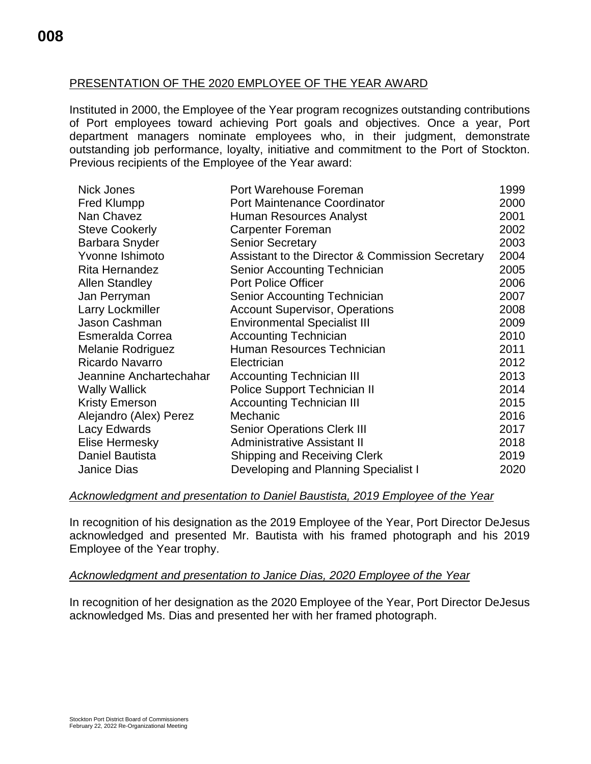## PRESENTATION OF THE 2020 EMPLOYEE OF THE YEAR AWARD

Instituted in 2000, the Employee of the Year program recognizes outstanding contributions of Port employees toward achieving Port goals and objectives. Once a year, Port department managers nominate employees who, in their judgment, demonstrate outstanding job performance, loyalty, initiative and commitment to the Port of Stockton. Previous recipients of the Employee of the Year award:

| <b>Nick Jones</b>        | Port Warehouse Foreman                           | 1999 |
|--------------------------|--------------------------------------------------|------|
| <b>Fred Klumpp</b>       | <b>Port Maintenance Coordinator</b>              | 2000 |
| Nan Chavez               | Human Resources Analyst                          | 2001 |
| <b>Steve Cookerly</b>    | Carpenter Foreman                                | 2002 |
| Barbara Snyder           | <b>Senior Secretary</b>                          | 2003 |
| Yvonne Ishimoto          | Assistant to the Director & Commission Secretary | 2004 |
| Rita Hernandez           | Senior Accounting Technician                     | 2005 |
| <b>Allen Standley</b>    | <b>Port Police Officer</b>                       | 2006 |
| Jan Perryman             | <b>Senior Accounting Technician</b>              | 2007 |
| Larry Lockmiller         | <b>Account Supervisor, Operations</b>            | 2008 |
| Jason Cashman            | <b>Environmental Specialist III</b>              | 2009 |
| <b>Esmeralda Correa</b>  | <b>Accounting Technician</b>                     | 2010 |
| <b>Melanie Rodriguez</b> | Human Resources Technician                       | 2011 |
| Ricardo Navarro          | Electrician                                      | 2012 |
| Jeannine Anchartechahar  | <b>Accounting Technician III</b>                 | 2013 |
| <b>Wally Wallick</b>     | Police Support Technician II                     | 2014 |
| <b>Kristy Emerson</b>    | <b>Accounting Technician III</b>                 | 2015 |
| Alejandro (Alex) Perez   | Mechanic                                         | 2016 |
| Lacy Edwards             | <b>Senior Operations Clerk III</b>               | 2017 |
| Elise Hermesky           | <b>Administrative Assistant II</b>               | 2018 |
| <b>Daniel Bautista</b>   | <b>Shipping and Receiving Clerk</b>              | 2019 |
| Janice Dias              | Developing and Planning Specialist I             | 2020 |

#### *Acknowledgment and presentation to Daniel Baustista, 2019 Employee of the Year*

In recognition of his designation as the 2019 Employee of the Year, Port Director DeJesus acknowledged and presented Mr. Bautista with his framed photograph and his 2019 Employee of the Year trophy.

#### *Acknowledgment and presentation to Janice Dias, 2020 Employee of the Year*

In recognition of her designation as the 2020 Employee of the Year, Port Director DeJesus acknowledged Ms. Dias and presented her with her framed photograph.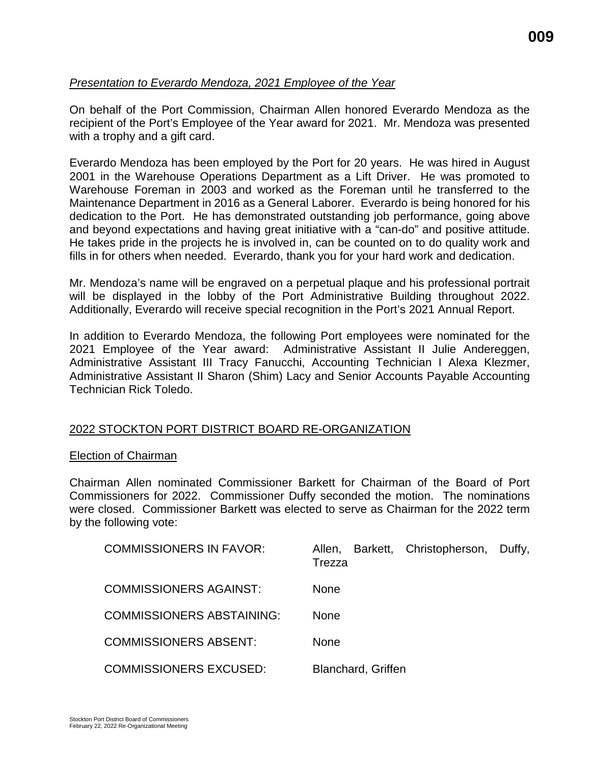## *Presentation to Everardo Mendoza, 2021 Employee of the Year*

On behalf of the Port Commission, Chairman Allen honored Everardo Mendoza as the recipient of the Port's Employee of the Year award for 2021. Mr. Mendoza was presented with a trophy and a gift card.

Everardo Mendoza has been employed by the Port for 20 years. He was hired in August 2001 in the Warehouse Operations Department as a Lift Driver. He was promoted to Warehouse Foreman in 2003 and worked as the Foreman until he transferred to the Maintenance Department in 2016 as a General Laborer. Everardo is being honored for his dedication to the Port. He has demonstrated outstanding job performance, going above and beyond expectations and having great initiative with a "can-do" and positive attitude. He takes pride in the projects he is involved in, can be counted on to do quality work and fills in for others when needed. Everardo, thank you for your hard work and dedication.

Mr. Mendoza's name will be engraved on a perpetual plaque and his professional portrait will be displayed in the lobby of the Port Administrative Building throughout 2022. Additionally, Everardo will receive special recognition in the Port's 2021 Annual Report.

In addition to Everardo Mendoza, the following Port employees were nominated for the 2021 Employee of the Year award: Administrative Assistant II Julie Andereggen, Administrative Assistant III Tracy Fanucchi, Accounting Technician I Alexa Klezmer, Administrative Assistant II Sharon (Shim) Lacy and Senior Accounts Payable Accounting Technician Rick Toledo.

#### 2022 STOCKTON PORT DISTRICT BOARD RE-ORGANIZATION

#### Election of Chairman

Chairman Allen nominated Commissioner Barkett for Chairman of the Board of Port Commissioners for 2022. Commissioner Duffy seconded the motion. The nominations were closed. Commissioner Barkett was elected to serve as Chairman for the 2022 term by the following vote:

| <b>COMMISSIONERS IN FAVOR:</b>   | Barkett, Christopherson, Duffy,<br>Allen,<br>Trezza |
|----------------------------------|-----------------------------------------------------|
| <b>COMMISSIONERS AGAINST:</b>    | <b>None</b>                                         |
| <b>COMMISSIONERS ABSTAINING:</b> | <b>None</b>                                         |
| <b>COMMISSIONERS ABSENT:</b>     | <b>None</b>                                         |
| <b>COMMISSIONERS EXCUSED:</b>    | <b>Blanchard, Griffen</b>                           |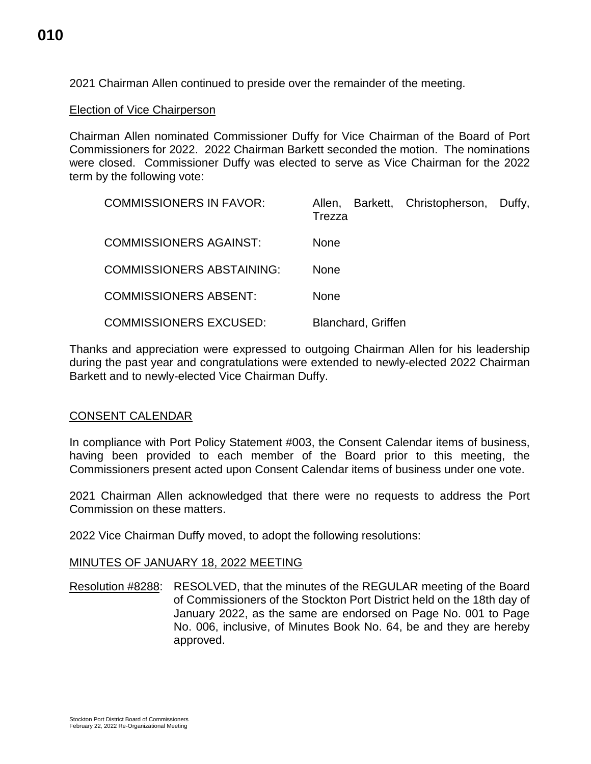2021 Chairman Allen continued to preside over the remainder of the meeting.

Election of Vice Chairperson

Chairman Allen nominated Commissioner Duffy for Vice Chairman of the Board of Port Commissioners for 2022. 2022 Chairman Barkett seconded the motion. The nominations were closed. Commissioner Duffy was elected to serve as Vice Chairman for the 2022 term by the following vote:

| <b>COMMISSIONERS IN FAVOR:</b>   | Barkett, Christopherson, Duffy,<br>Allen,<br>Trezza |
|----------------------------------|-----------------------------------------------------|
| <b>COMMISSIONERS AGAINST:</b>    | <b>None</b>                                         |
| <b>COMMISSIONERS ABSTAINING:</b> | <b>None</b>                                         |
| <b>COMMISSIONERS ABSENT:</b>     | <b>None</b>                                         |
| <b>COMMISSIONERS EXCUSED:</b>    | <b>Blanchard, Griffen</b>                           |

Thanks and appreciation were expressed to outgoing Chairman Allen for his leadership during the past year and congratulations were extended to newly-elected 2022 Chairman Barkett and to newly-elected Vice Chairman Duffy.

#### CONSENT CALENDAR

In compliance with Port Policy Statement #003, the Consent Calendar items of business, having been provided to each member of the Board prior to this meeting, the Commissioners present acted upon Consent Calendar items of business under one vote.

2021 Chairman Allen acknowledged that there were no requests to address the Port Commission on these matters.

2022 Vice Chairman Duffy moved, to adopt the following resolutions:

#### MINUTES OF JANUARY 18, 2022 MEETING

Resolution #8288: RESOLVED, that the minutes of the REGULAR meeting of the Board of Commissioners of the Stockton Port District held on the 18th day of January 2022, as the same are endorsed on Page No. 001 to Page No. 006, inclusive, of Minutes Book No. 64, be and they are hereby approved.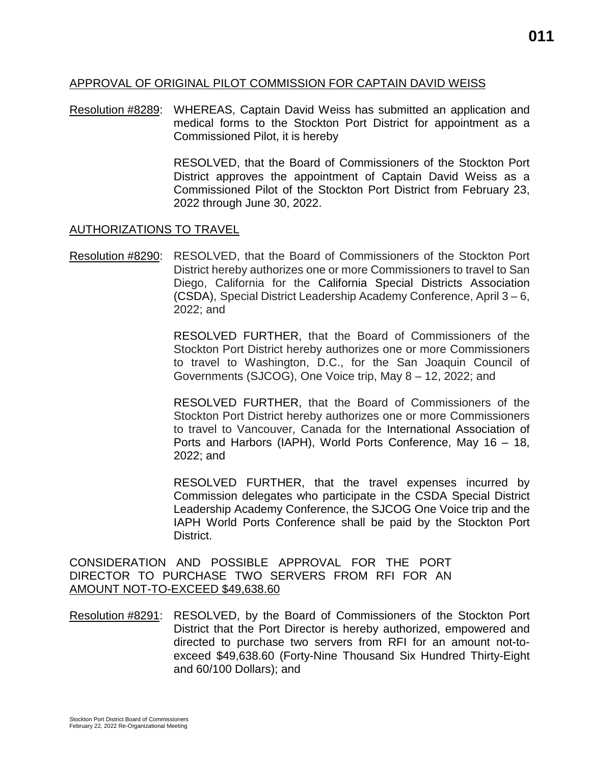### APPROVAL OF ORIGINAL PILOT COMMISSION FOR CAPTAIN DAVID WEISS

Resolution #8289: WHEREAS, Captain David Weiss has submitted an application and medical forms to the Stockton Port District for appointment as a Commissioned Pilot, it is hereby

> RESOLVED, that the Board of Commissioners of the Stockton Port District approves the appointment of Captain David Weiss as a Commissioned Pilot of the Stockton Port District from February 23, 2022 through June 30, 2022.

#### AUTHORIZATIONS TO TRAVEL

Resolution #8290: RESOLVED, that the Board of Commissioners of the Stockton Port District hereby authorizes one or more Commissioners to travel to San Diego, California for the California Special Districts Association (CSDA), Special District Leadership Academy Conference, April 3 – 6, 2022; and

> RESOLVED FURTHER, that the Board of Commissioners of the Stockton Port District hereby authorizes one or more Commissioners to travel to Washington, D.C., for the San Joaquin Council of Governments (SJCOG), One Voice trip, May 8 – 12, 2022; and

> RESOLVED FURTHER, that the Board of Commissioners of the Stockton Port District hereby authorizes one or more Commissioners to travel to Vancouver, Canada for the International Association of Ports and Harbors (IAPH), World Ports Conference, May 16 – 18, 2022; and

> RESOLVED FURTHER, that the travel expenses incurred by Commission delegates who participate in the CSDA Special District Leadership Academy Conference, the SJCOG One Voice trip and the IAPH World Ports Conference shall be paid by the Stockton Port District.

CONSIDERATION AND POSSIBLE APPROVAL FOR THE PORT DIRECTOR TO PURCHASE TWO SERVERS FROM RFI FOR AN AMOUNT NOT-TO-EXCEED \$49,638.60

Resolution #8291: RESOLVED, by the Board of Commissioners of the Stockton Port District that the Port Director is hereby authorized, empowered and directed to purchase two servers from RFI for an amount not-toexceed \$49,638.60 (Forty-Nine Thousand Six Hundred Thirty-Eight and 60/100 Dollars); and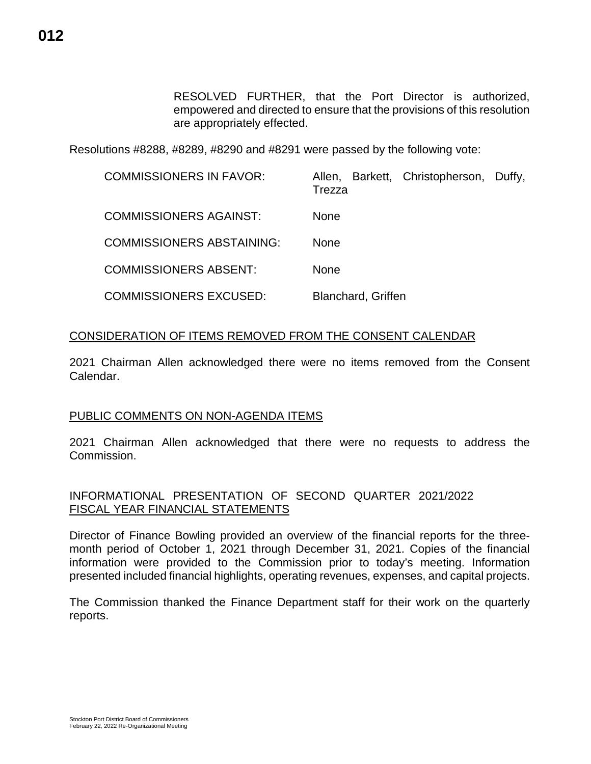RESOLVED FURTHER, that the Port Director is authorized, empowered and directed to ensure that the provisions of this resolution are appropriately effected.

Resolutions #8288, #8289, #8290 and #8291 were passed by the following vote:

| <b>COMMISSIONERS IN FAVOR:</b>   | Barkett, Christopherson, Duffy,<br>Allen,<br>Trezza |
|----------------------------------|-----------------------------------------------------|
| <b>COMMISSIONERS AGAINST:</b>    | <b>None</b>                                         |
| <b>COMMISSIONERS ABSTAINING:</b> | <b>None</b>                                         |
| <b>COMMISSIONERS ABSENT:</b>     | <b>None</b>                                         |
| <b>COMMISSIONERS EXCUSED:</b>    | Blanchard, Griffen                                  |

## CONSIDERATION OF ITEMS REMOVED FROM THE CONSENT CALENDAR

2021 Chairman Allen acknowledged there were no items removed from the Consent Calendar.

## PUBLIC COMMENTS ON NON-AGENDA ITEMS

2021 Chairman Allen acknowledged that there were no requests to address the Commission.

## INFORMATIONAL PRESENTATION OF SECOND QUARTER 2021/2022 FISCAL YEAR FINANCIAL STATEMENTS

Director of Finance Bowling provided an overview of the financial reports for the threemonth period of October 1, 2021 through December 31, 2021. Copies of the financial information were provided to the Commission prior to today's meeting. Information presented included financial highlights, operating revenues, expenses, and capital projects.

The Commission thanked the Finance Department staff for their work on the quarterly reports.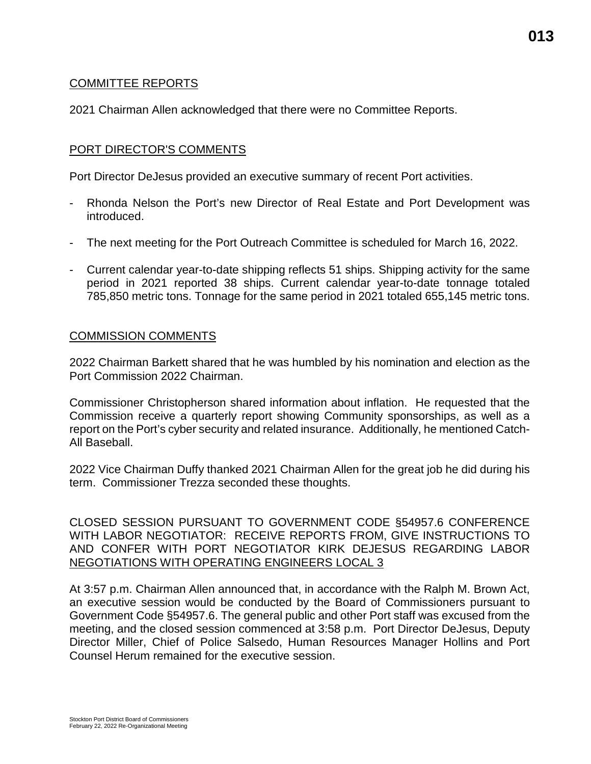## COMMITTEE REPORTS

2021 Chairman Allen acknowledged that there were no Committee Reports.

#### PORT DIRECTOR'S COMMENTS

Port Director DeJesus provided an executive summary of recent Port activities.

- Rhonda Nelson the Port's new Director of Real Estate and Port Development was introduced.
- The next meeting for the Port Outreach Committee is scheduled for March 16, 2022.
- Current calendar year-to-date shipping reflects 51 ships. Shipping activity for the same period in 2021 reported 38 ships. Current calendar year-to-date tonnage totaled 785,850 metric tons. Tonnage for the same period in 2021 totaled 655,145 metric tons.

#### COMMISSION COMMENTS

2022 Chairman Barkett shared that he was humbled by his nomination and election as the Port Commission 2022 Chairman.

Commissioner Christopherson shared information about inflation. He requested that the Commission receive a quarterly report showing Community sponsorships, as well as a report on the Port's cyber security and related insurance. Additionally, he mentioned Catch-All Baseball.

2022 Vice Chairman Duffy thanked 2021 Chairman Allen for the great job he did during his term. Commissioner Trezza seconded these thoughts.

CLOSED SESSION PURSUANT TO GOVERNMENT CODE §54957.6 CONFERENCE WITH LABOR NEGOTIATOR: RECEIVE REPORTS FROM, GIVE INSTRUCTIONS TO AND CONFER WITH PORT NEGOTIATOR KIRK DEJESUS REGARDING LABOR NEGOTIATIONS WITH OPERATING ENGINEERS LOCAL 3

At 3:57 p.m. Chairman Allen announced that, in accordance with the Ralph M. Brown Act, an executive session would be conducted by the Board of Commissioners pursuant to Government Code §54957.6. The general public and other Port staff was excused from the meeting, and the closed session commenced at 3:58 p.m. Port Director DeJesus, Deputy Director Miller, Chief of Police Salsedo, Human Resources Manager Hollins and Port Counsel Herum remained for the executive session.